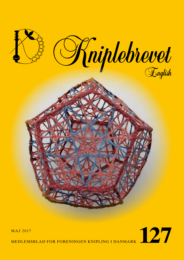



MEDLEMSBLAD FOR FORENINGEN KNIPLING I DANMARK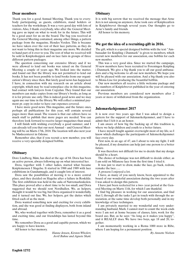## **Dear members**

Thank you for a good Annual Meeting. Thank you to everybody participating, as guests, exhibitors, stand holders or teachers for the workshops. It was a very good day with lots of visitors. Also, I thank everybody, who after the General Meeting gave us input on what to work for in the future. This will be a good asset for us on the board. The bag you received at the General Meeting contained, among other things, a pattern package from the magazine, Hendes Verden. This is because we have taken over the rest of their lace patterns, as they do not want to bring this in their magazine any more. We decided to hand part of it over to you. The rest of what we received will be sold in Knipleshoppen and on lace fairs in groups of three different pattern packages.

The question concerning our extensive library and if we were allowed to lend out books was raised on the General Meeting a couple of years ago. We looked into the matter, and found out that the library was not permitted to lend out books. It has not been possible to lend books from our organization's library since then. But lately good news has happened. I have, in connection with my research on an article about copyright, which may be read someplace else in this magazine, had contact with lawyers from Copydan. They found that our members can make copies from our library's books, as long as it is for private use only. This is indeed good news and we may again use our time in the library. We will collect a minimal payment pr. copy in order to have our expenses covered.

I have more good news. This magazine, and the future ones, perhaps all publications for this year, will contain several pages more than usual. The reason is that our editors have so much stuff to publish that more pages are needed. You can therefore look forward to receive larger magazines than usual.

I will finish with wishing everybody a good summer, and I can already tell you that our next Annual – and General Meeting will be on Marts 17th, 2018. The location will also next year be Mødecenteret in Odense.

Remember also, that if you recruit a new member, you will receive a very specially designed bobbin.

## **Obituary**

Dore Lindberg, Møn, has died at the age of 84. Dora has been an active person, always following up on what interested her.

Dora, together with 3 other ladies, started what became Kniplemessen I Slagelse. It started in 1988 and 1989 with lace exhibitions in Gundsømagle, and it caught lots of interest.

Dora saw the possibilities of moving it to a more central place, and they decided on Slagelse after a failure in Roskilde. The first exhibition was held in the aula of Nørremarksskolen. This place proved after a short time to be too small, and Dora suggested that we should rent Nordhallen. We, as helpers, thought it would be too big, but Dora organized it wonderfully, and it turned out fine. We, her helpers, got the duties which fitted each of us the most.

Dora wanted something new and exciting for every exhibition, and she was good at finding displayers, both from inland and abroad.

We, who worked together with Dora, remember it as a good and exciting time, and our friendships has lasted beyond this time.

We remember Dora as a good and capable person, which we are happy to have known.

All honor to her memory.

*Hanne Jensen, Kirsten Wholert, Avril Bahne and Agnete Skøtt.*

# **Obituary**

It is with big sorrow that we received the message that Arne Jerx is not among us anymore. Arne took care of Kniplecaféen in Kniplebrevet through several years. Our thoughts go to Arne's family and friends.

All honor to his memory.

# **We got the idea of a recruiting-gift in 2016.**

The gift, which is a special designed bobbin with the text "Ambassadør for Knipling i Danmark" is given to members, which recruit new members for our association, one bobbin for each new member.

This was a very good idea. Since we started the campaign, 50 new members have been recruited to Foreningen Knipling i Danmark. We give a big thank you to all our good ambassadors and a big welcome to all our new members. We hope you will be pleased with our association. And a big thank you also to Mona-Lise for producing the beautiful bobbin.

Our new members all receive a little welcome package and the numbers of Kniplebrevet published in the year of entering our association.

Previous members are considered new members after 2 years or more of withdrawal from the organization.

#### **Julemærkehjemmet 2017**

It is now over two years ago that I was asked to design a pattern for the support of Julemærkehjemmet, and I have to admit that I felt it as an honor.

I am aware of how big the backing up of this tradition is, where we help children and youth to a better future.

I have myself fought against overweight most of my life, so I know which challenges the participants of Julemerkehjemmet face every day.

First now, in an age of 47, am I about to win my fight. I will be pleased, if my donation can help just one person to a better future.

It was therefore not difficult for me to decide that my design should be a heart.

The choice of technique was not difficult to decide either, as I am sold on Milanese lace from the first time I tried it.

It was just to start to draw, make the lace, go back, redraw, remake the lace…..

A process I enjoyed a lot.

I have, as many of you surely know, been appointed to the board of our wonderful association during the two years after I was asked to design this pattern.

I have just been reelected for a two- year period at the General Meeting on Marts 11th, for which I am thankful.

I find big pleasure in working for our association, and find that I, through all the tasks I get in touch with through the association, at the same time develop both personally and in my knowledge of lace techniques.

I am privately married to my wonderful and very understanding husband, Mark. I cannot start to count the week-ends were I am not at home because of classes, fairs, work for the board aso. But, as he says: "As long as it makes you happy", and it REALLY does. We have two boys, age 18 and 20, together.

I am momentarily working in a Rema 1000 store in Ribe, where I am hoping for a permanent position.

*By Annette Nielsen*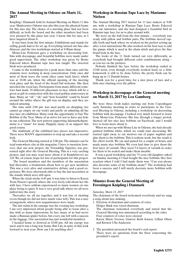# **The Annual Meeting in Odense on Marts 11, 2017**

Knipling i Danmark held its Annual Meeting on Marts 11 this year. Mødecenter Odense was also this year the physical frame for this nice day. The choice of a meeting place had not been difficult, as both the board and the other members had been very pleased by this place last year. I know this for sure, as I have inquired about it.

It was busy from the first minute. Exhibitions and stands for selling goods had to be set up. Everything turned out fine also thisyear, and the two workshops started at 9.00am sharp.

Mona-Lise Pedersen gave a workshop on decorating bobbins with decoupage, and beautiful bobbins were made under good supervision. The other workshop was given by Bente Eskerod where Russian tape lace was taught. The sweetest birds were produced.

I came to the workshops for a peak more than once and the students were working in deep concentration. Only once did most of them leave the room (they came back later), which was at 10.00 am. when the official opening of the meeting took place and the head of the board bid welcome. She then unveiled the royal lace. Participants from many different countries had made 18 different placemats in lace, which will be a given as gift in connection with the royal golden anniversary in June. Many an "oh", "ah" and "how beautiful" could be heard around the tables where the gift was on display, and they are indeed amazing.

The time until 2:00 pm. was used partly on shopping (we cannot go empty on our tools) and partly on admiring all the nice lace on exhibition. Many took the opportunity to buy The Bobbin of the Year. Many of us strive for not to have any hole in our collection. The new pattern supporting Julemærkehjemmene is a "must" for many. Happily, many of us support this good course.

The multitude of the exhibited lace pieces was impressive. There were MANY opportunities to stop up and take a second look.

The General Meeting started at 2:00 pm. The minutes can be read somewhere else in this magazine. I have to mention, however, that our new project, the Friendship Tapestry, was presented right after the General Meeting. This is a very exciting project, and you may read more about it in Kniplebrevet no. 126. We, of course, hope for lots of participants for this project.

 The board members and the members of the association had thereafter a brainstorm about how to get new members. This was a very alive and constructive debate, and a good experience. We were afterwards able to buy the last necessities at the stands, which were still open.

When the clock stroke 4:45 pm. it was time to listen to Karen Trent Nissen's speech, where she very lively told about her life with lace. I have seldom experienced so many women on one place being so quiet. It was a very good talk where we all were pulled into the story.

Thereafter we all ate together, and it was lots of chatting (even though we did not have much voice left). This was a nice arrangement, where new acquaintances were made.

The last raisin in the sausage was the evening lace workshop. I am very impressed about people being able to focus after a day with so many impressions. In fact, many of us had never made a Russian spider before, but every one left with a success in the luggage. Our association has just wonderful members.

I headed home to Jernved at 10.00 pm. All my energy was used, and it was a long way home. But I do, in spite of this, look forward to next year. How can I do anything else?

# **Workshop in Russian Tape Lace by Marianne Nielsen**

The Annual Meeting 2017 started for 11 lace makers at 9.00 am. with a workshop in Russian Tape Lace. Bente Eskerod was our instructor, and she had designed a beautiful bird in Russian tape lace, for us to play around with.

We were on the ball from the first minute – everybody was ready with pillow and bobbin pairs. The bobbins moved rapidly forth and back where we worked on the perfect setting-up after a few instructions. We also worked on the best way to add the gimps, which is used in the chain stitch and gives the fine braid-look in the lace.

The looks of the 11 birds turned out very differently, as everybody had brought different color combinations along – as you see on the pictures.

Nobody finished the lace before the workshop ended at 12:00 noon, even though everybody worked hard, so a little homework is still to be done before the pretty birds can be hung up in 11 Danish homes.

Thank you for a good time, for a nice piece of lace and a little nice chatting over the pillow.

## **Workshop in decoupage at the General meeting on March 11, 2017 by Lea Gamborg**

We were three fresh ladies starting out from Copenhagen early Saturday morning in order to participate in the General Meeting in Odense, including a workshop on decorating bobbins with decoupage. I looked very much forward to learn from Mona-Lise Pedersen. She has, through a longer period, showed off her nice lace bobbins on Facebook, and I would love to learn more about it.

When we met up with Mona-Lise in Odense, she had already painted bobbins white, which we could start decorating. We started right away to cut motives out of paper napkins and glue them to the bobbins. This is tedious work, but the result is the effort worth. We cut and pasted for a couple of hours, and made many nice bobbins. We even had time to give them the first layer of varnish. They need 5-6 layers of varnish in order for them to be sealed and make them useable.

It was a good workshop, and my 7½ year old daughter asked on Sunday morning if I had bought the nice bobbins. Her first reaction when I told I had made them was: "Can you please also decorate some of my bobbins, mom?" The workshop had been a success, and I will surely decorate more bobbins with decoupage.

# **Minutes from the General Meeting of Foreningen Knipling i Danmark**

#### *Saturday, Marts 11, 2017*

The chairman of the board welcomed everybody and we sang a song about lace making.

- 1. Election of chairman and counters of votes.
	- Holger Busk was voted chairman. The chairman welcomed everybody and stated that the General Meeting was announced according to the rules. Four counters of votes were elected:

Karen Marie Iversen, Gunvor Kold Jensen, Lillian Olsen and Kirsten Ulla Andersen

2 The president presented the board's oral report. There were no questions from the floor concerning the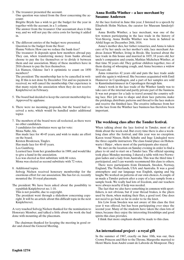3. The treasurer presented the account.

One question was raised from the floor concerning the account:

Birgitte Bryde has a wish to get the budget for the year in together with the account, in a 3. column.

The answer from the treasurer: Our accountant does it this way, and we will not pay the extra costs for having it added in.

4. The different entries of the budget were presented. Question to the budget from the floor:

Hanne Volters: How can we reduce the bank-fees?

The treasurer: It depends upon how members abroad pay. They can, when transferring money from banks abroad, choose to pay the fee themselves or to divide it between them and our association. Many of these members have in 2016 chosen to pay the fees themselves.

Lis Hansen, Odense: Isn't it optimistic to count on 1850 members?

The president: The membership has to be cancelled in writing. If this is not done by December 31st and no payment is received, we will cancel the membership. Our experience is that many rejoin the association when they do not receive Kniplebrevet in February.

- 5. The board had decided to keep the current membership fee. Approved by applause.
- 6. There were no incoming proposals, but the board had received a note, which would be handled under additional topics
- 7. The members of the board were all reelected, as there were no other candidates.

3 candidates for substitutes were up for vote:

Mona Nøhr, Als.

Has made lace for 40-45 years, and wish to make an effort on the board.

Kirsten Brodersen, Tinglev.

Has made lace for 40-45 years.

Lea Gamborg.

Learned lace from her grandmother in 1989, and would like to give a hand in the association.

Lea was elected as first substitute with 86 votes.

- Mona was elected as second substitute with 72 votes.
- 8. Additional topics.

Solvejg Nielsen received honorary membership for the enormous effort for our association. She has for ex. recently mounted the 18 royal placemats.

The president: We have been asked about the possibility to republish Kniplebrevet no. 1-10.

This is not possible, due to copyright.

The president went through a slideshow concerning copyright. It will be an article about this difficult topic in the next Kniplebrevet.

A very touched Solvejg Nielsen thanked for the nomination to Honorary Member, and talked a little about the work she had done with mounting all the placemats.

The chairman thanked for keeping the meeting in good order and closed the General Meeting.

# **Anna Botilla Winther – a lace merchant by Susanne Andersen**

At the lace festival in June this year, I listened to a speech by Elisabeth Holm Nielsen, the curator for Museum Sønderjylland.

Anna Botilla Winther, a lace merchant, was one of the few women participating in the lace trade in the history of Vest-Slesvig. Anna Botilla Winther was born in Sølsted in Abild Sogn on December 26th, 1816.

Anna's mother dies, her father remarries, and Anna is taken care of by her uncle on her mother's side, lace merchant Andreas Jensen Winther, living in Brede. She learned about the lace trade in this house and married in 1835, 18 years old, her uncle's companion and cousin, Mathias Michelsen Winther, at that time 50 years old. They getfour children together, two of them dyeing of whooping cough, and Anna becomes a widow 30 years old.

Anna remarries 42 years old and puts the lace trade aside until she again is widowed. She becomes acquainted with Emil Hannover in Copenhagen, and a part of her samples are sold to Kunstindustrimuseet in Copenhagen through him.

Anna's work in the lace trade of the Winther family was to take care of the internal and partly private part of the business. It was not proper for a lady to travel around the country selling lace. Her job was to shape and draw lace patterns, make the prickings, distribute patterns and thread to the lace makers and receive the finished lace. The creative influence from her on the lace from the Winther lace business has therefore been important.

# **The weeklong class after the Tønder festival.**

When talking about the lace festival in Tønder, most of us think about the week-end. But every time there is also a weeklong class after the festival, and this year was no exception. Karen trend Nissen, Helle Schultz and Inge Lindegård were the three capable instructors. The class found place on Hohenwarte i Højer , where most of the participants also stayed.

We met on the location on Sunday evening in order to find a place to sit and to start on a Tønder lace. The official opening took place Monday morning. I shared a table with two Norwegian ladies and a lady from Australia. This was the third time I participated, and I can warmly recommend this class to others.

There were participants from Denmark, Sweden, Norway, England, The Netherlands, USA and Australia. It was a good atmosphere and our language was English, signing and big laughs. We worked on patterns of our own choices. A couple of us made a Tønder pattern after a copy of a lace sample from a sample book. We really had lots of freedom, and our teachers were always nearby if help was needed.

The fact that we also have something in common with sportfishers, is not obvious, but if your thread brakes, is the pliers used by them, when making their flies, a good tool. One does not need to go back so far in order to tie the knot.

Iris Löw from Sweden was not aware of this class the first year it was offered, but has been participating ever since the second year. Many of the students have taken the class lots of times, because they enjoy the interesting friendships and good spirits this class provides.

I think that more emphasis should be made to this class.

# **An international project - a royal gift**

In the summer of 1967, exactly on June 10th, was our, then Crown Princess and Heir to the Throne, Margrethe married to Henri Marie Jean André count de Laborde de Monpezat. They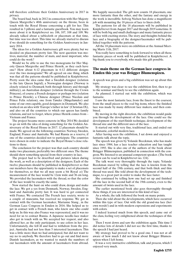will therefore celebrate their Golden Anniversary in 2017 in privacy.

The board had, back in 2012 in connection with Her Majesty Queen Margrethe's 40th anniversary on the throne, been in touch with the Royal House concerning a gift for her. This resulted in 3 pillows and a fantastic guestbook. You may learn more about it in Kniplebrevet no. 106, 107, 108 and 109. We already talked about a tablecloth or placemats at that time, but time was too short. This time we already started to discuss if we should do something for the Golden Anniversary in January 2014.

The ideas for a Golden Anniversary gift were plenty, but we decided on placemats pretty fast. The next question was motives, material, the number of mats, and most important, who could do the work?

Would we be able to use the two monograms for Her Majesty Queen Margrethe and Prince Henrik, as they each have one? How about 6-12 placemats in 6-12 different designs over the two monograms? We all agreed on one thing, which was that all the patterns should be published in Kniplebrevet. Pretty soon the idea came that a Swedish designer (relation to the late Queen Ingrid), a Norwegian designer (Norway is closely related to Denmark both through history and through military), an Australian designer (relation through the Crown Princess), of course a French designer or perhaps two (relation to Prince Henrik), a Chinese designer (Prince Nicolais and Prince Felix relation), one from Tønder (Møgeltønder) and some of our own capable, good designers in Denmark. We also worked on an idea with 'Europe's father in law' (Christian IX), and also on all the countries to which our queen has family relations, and not to forget, where prince Henrik comes from – Vietnam and France.

The project became more concrete in May 2014.We decided to go on with the idea of doing something for the Golden Anniversary of the Royal House in 2017. 12 placemats should be made. We agreed on the following countries: Norway, Sweden, England, France and Australia. We had Russia as a reserve, if one of the countries decided not to participate. The countries were chosen in order to indicate the Royal House's close relations to these.

The conclusion for the project was that each country should make two placemats, preferably two different ones. The theme should show something special from their country in lace.

The project had to be described and pictures taken during the work, as well as a description of the designers. Each of the twelve placemats should be published in Kniplebrevet so that our members have the opportunity to make a set of placemats for themselves, so that we all may seem a bit Royal ;o) The measurement of the lace would be 12cm wide and 36 cm long. We provided the lacemakers with the thread, so that the color of the lace would be exactly the same.

Now started the hunt on who could draw, design and make the lace. We got a yes from Denmark, Norway, Sweden, England and Australia pretty fast. It was hard to get connected with France. We contacted The French lace society, wrote to a couple of museums, but received no response. We got in contact with the German lacemaker, Marianne Stang , in the German Lace Congress in Emden in 2016. She helped us to get in contact with a French man, who knew one who could help us. In this way also France was represented, and it was no need for us to contact Russia. A Japanese needle-lace maker also got in touch with us. We accepted her request, and also allowed her, as the only participant, to use colors in her lace. Unfortunately, she fell ill and had to withdraw from the project. Australia had not less than 5 interested lacemakers. This was a little more than we had anticipated, but did not want to say no to anybody. We therefore had to go out and find more Danish lacemakers, as we wanted to match the numbers of our lacemakers with the amount of lacemakers from abroad.

We happily succeeded. The gift now counts 18 placemats, one more fantastic than the other, and the fantasy and energy in the work is incredible. Solveig Nielsen has done a magnificent job with mounting the 18 pieces of lace to linen cloth.

The patterns for all the 18 placemats will be published in Kniplebrevet from August 2017 and through 2019 sometime. It will be both big and small challenges and many fantastic pieces of lace with exciting stories. The story and thoughts behind the lace and a biography of the designer/lacemaker will be published together with the patterns.

All the 18 placemats were on exhibition at the Annual Meeting Marts 11th, 2017.

You really have something to look forward to when all these fantastic pieces of work will be published in Kniplebrevet. A big thank you to everybody, who made this gift possible.

### **The main theme on the German lace congress in Emden this year was Brügger Blumenspizen.**

A speech was given and a big exhibition was set up about this topic.

My strategy was clear: to see the exhibition first, then to go to the seminar and finely to see the exhibition again.

As planned, I started out with the exhibition, which was fantastic.

I saw the most fantastic lace, from the finest to the coarsest, from the small pieces to the real big items, where the finished lace was made by many different lace makers, and then combined.

By moving in the right direction, the exhibition would guide you through the development of the lace. One could see the development of the start/finish technique, development of the thread size and the different uses of the lace.

It started out with very fine, traditional lace, and ended out in fantastic, colorful modern lace.

After having seen the exhibition, I sat down and enjoyed a fantastic talk about the topic.

The speech was given by Yolande Beeckman, who has made lace since 1984, has a lace teacher education and has taught since 1993. She is also one of the authors of the book about Brügger Blümenspizen, published in connection with the congress. We listened to an unusual competent speaker. (The book review can be read in Kniplebrevet no. 124).

The talk went very thoroughly through the topic. Yolande Beeckman stared by telling that the lace is known from the second half of the 19th century, and that both thick and thin thread was used. She told about the development of the technique, to a great part in order to make the lace faster.

She continued by telling how one had set up and finished off the lace in the second half of the 19th century, even to the amount of twists used in the lace.

The earlier mentioned book also goes thoroughly through these things, if you are interested in this kind of lace.

As a whole, the talk followed the book on many points.

Then she told about the developments, which have occurred within this type of lace. Out with the old grand-ma lace (her own words!) and in with modern expressions and experiments with colors.

I indeed learned much from this speech, and came out of the class, feeling very enlightened about the techniques of this lace.

Then I went down and saw the exhibition again. This time I did notice lots of details I did not see the first time, thanks to the speech I had just heard.

My strategy had proved to be a good one. I was not at all aware of how much I did not know about Brügger Blumenspizen when I left home.

It was a very instructive exhibition, talk and process, which I enjoyed very much.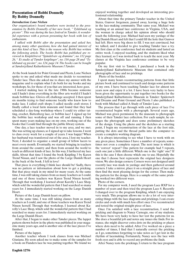# **Presentation of Bobbi Donnelly By Bobby Donnelly**

#### *Introduction: Lone Nielsen*

*Our organization's board members were invited to the presentation by Bobbi Donnelly of her new book, " Tyldsbund og picoter". This was during the lace festival in Tønder. A wonderful experience with a person presenting her book with lots of enthusiasm.*

*I talked with Bobbi after the presentation and asked her, among many other questions, how she had gained interest of just this kind of lace. This is the reason why Bobbi has written the following article. The books Bobbi has published are reviewed in Kniplebrevet "Spindelvæv og drømme", no. 112 page 26, " Et studie af Tønder kniplinger", no. 116 page 28 and "Tyldsbund og picoter", no. 124, page 14. The books can be bought at Sønderjylland Kulturhistorie Museum I Tønder.* 

At the book launch for Point Ground and Picots, Lone Nielsen spoke to me and asked what made me decide to reconstruct Tønder lace. Then she asked me to share my answer with the magazine and to explain what I do both for my books and my workshops. So, for those of you that are interested, here goes.

I started making lace in the late 1980s because someone said I hadn't done everything in the fiber arts world if I hadn't made bobbin lace. Gloves off, challenge accepted. I then spent six months trying to find someone locally who knew how to make lace. I called craft shops; I called needle craft stores; I finally called a local farm museum and found that they had scheduled a day-long workshop where I could try either tatting, crochet, Battenberg lace, or bobbin lace! I signed up for the bobbin lace workshop and was off and running. I then spent many years making lace on my own, working out of the books that I could find through the public library system.

One day, a lace teacher moved in to my area, and we met. She was setting up classes, so I signed up to take lessons. I went to class every week for a couple of years. I was happy! When her husband was transferred out of the area, I lost my teacher. Next, I decided to organize a small group of fellow lacers to meet every month. Eventually, we started bringing in teachers from around the country and then from around the world to teach us different kinds of lace. In this way, I furthered my lace skills. About that time I found the book Knipling 3 by Karen Trend Nissan, and I saw the photo of the Large Danish Heart in the back of the book. I fell in love!

That piece is everything I think lace should be! Sadly, there was no pattern or information about how to get a pricking. But that piece stuck in my mind for many years. At the same time, I was still taking classes from as many teachers as I could, and one of those teachers was Karen Trend Nissen herself. Through that workshop, I learned about Karelly's Lace Shop, which sold the wonderful pattern that I had searched so many years for. I immediately started working on the Large Danish Heart.

Picture of the Large Danish heart on pillow.

At the same time, I was still taking classes from as many teachers as I could, and one of those teachers was Karen Trend Nissen herself. Through that workshop, I learned about Karelly's Lace Shop, which sold the wonderful pattern that I had searched so many years for. I immediately started working on the Large Danish Heart.

After that, I began to make other Tønder pieces. The lappet pattern shown below in the photo was published in your magazine many years ago, and is another one of the lace pieces I've finished.

Picture of the lappet.

Another teacher whom I took classes from was Michael Giusiana. He soon asked me to make some of the samples for a book on Flanders lace he was putting together. We found we enjoyed working together and developed an interesting professional relationship.

About that time the primary Tønder teacher in the United States, Gunvor Jorgensen, passed away, leaving a huge hole in the lace-making community. That same year, Michael was teaching at an annual lace conference in Virginia, USA, and the woman in charge asked his opinion about who should teach the following year. Michael had seen my yardage of the Big Danish Heart and felt that I could fill the hole that Gunvor had left. Hers were big shoes to fill. I was not convinced, but we talked, and I decided to give teaching Tønder lace a try. My first class at the conference had six students and lasted an entire week. I enjoyed teaching, and the students liked what they learned, so I was invited back to teach the next year. My classes at the Virginia lace conference continue to be very popular.

On my first visit to Tønder, I purchased a book in the Sønderjylland Kulturhistorie Museum that contained only photographs of lace and no prickings.

Photo of the booklet.

I spent many hours reconstructing patterns from that little picture book and continued to teach and design some patterns of my own. I have been teaching Tønder lace for almost ten years now and enjoy it a lot. I have been very lucky to have been given the opportunity to put together two books for the Sønderjylland Kulturhistorie Museum in Tønder: Spiderweb and Dreams and Point Ground and Picots. I also published a book with Michael called A Study of Tønder Lace.

The process that I go through with each piece of lace I've reconstructed begins with a photograph. Several years ago, Michael was given permission by the museum to photograph some of their Tønder lace collection. For each sample, he enlarges the photograph and does some preliminary sketches of the design. Using the photo and the sketches as a starting point, I begin my reconstruction of the lace at the foot side, putting the dots and the thread paths into the computer to create a complete working diagram.

It is always interesting to see what I have to work with on any given piece. Sometimes I have a number of repeats, sometimes not even a complete repeat. The next issue is which is the 'correct' repeat? One pattern for example had 5 repeats, each one just a little different. Which one is the 'right' one? If this is the case I then choose which one to use. Hopefully the one that I choose best represents the original lace designers vision. We also design corners. Corners were not designed until recently lace was made in yardage and then gathered around corners. I take a mirror, place it on a straight piece of lace and then find the most pleasing design for the corner. Then make the pattern for the design. Here is a sample of the same pricking worked two different ways.

Photo of the corners.

For my computer work, I used the program Lace RXP for a number of years and then tried the program Lace 8. Recently I changed over to the program Knipling, which I am enjoying very much. This program allows me to do a lot of very interesting things with the lace diagrams and prickings. I can create circles and ovals with much less effort once I've reconstructed and tested the original straight piece of lace.

Once I'm satisfied with a lace reconstruction, I send the pricking and diagram to Nancy Carnegie, one of my students. We have been very lucky to have her test the patterns for us. She does a beautiful job and notes any issues she finds. For instance, she might discover extra dots on the pricking or places where dots need to be added. After I've worked on a piece a number of times, I find that I naturally correct the pricking as I go, sometimes forgetting to take notes as I get lost in the rhythm of lacemaking. Fortunately, Nancy sees the lace with fresh eyes and is able to record any problems she finds.

After Nancy tests the prickings, I return to the lace program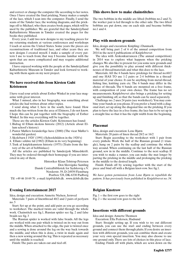and correct or change the computer file according to her notes. Once I have created the final pricking, Nancy makes a sample of the lace, which I scan into the computer. Finally, I send the scans of the Tønder lace, the working diagrams, and the prickings off to Michael, who then creates book pages, which will be used by the publisher. We are grateful that the Sønderjylland Kulturhistorie Museum in Tønder created the pages for the books they published.

Every year, I add two new designs to my teaching pieces for my returning students at various conferences and workshops I teach at across the United States. Some years the pieces are reconstructions of traditional lace, and other years they are new designs I created myself. I make a sample of every pattern I use to teach from; that way I become familiar with the spots that are more complicated and may require additional instruction.

I have enjoyed working with the people at the Sønderjylland Kulturhistorie Museum in Tønder and look forward to working with them again on my next project.

### **We have received this from Kirsten Gubi Kristensen**

I have read your article about Esther Winkel in your lace magazine with great interest.

What I missed, also in her biography, was something about articles she had written about other topics.

I send along what I, here in the south, have found. How much she has written from the area of Elsinore, I do not know. I hope this can be put together with the biography of Esther Winkel. In this way everything will be together.

These are the articles Kirsten Gubi Kristensen has found:

- 1. Bidrag til Ellum skolens historie (2012) (Article about Ellum school's history)
- 2.Pastor Møllers forunderlige have (2000) (The vicar Møller's wonderful garden)
- 3. Skolebarn I 1920' (1991) (Schoolchildren in the 1920's)
- 4. Ellum i ældste tid (1982) (Ellum in its very beginning)
- 5.Træk af kniplekunstens historie (1975) (Traits from the history of the art of bobbinlace)

All the articles are published by Sønderjysk Månedskrift. They may be ordered through their homepage if you are interested in any of them.

Historiker Klaus Tolstrup Petersen Den Slesvigske Samling Dansk Centralbibliotek for Sydslesvig e.V. Norderstr. 59, D-24939 Flensburg Postbox 528, DK-6330 Padborg Tlf: +49 46 18 69 70 . e-mail: ktp@dcbib.dk . www.dcbib.dk/dss

# **Evening Entertainment 2017**

Idea, design and execution: Annette Nielsen, Jernved

Materials: 7 pairs of linenthread 40/2 and 2 pairs of perlyarn no. 5

Start: Set up at the point, and add pairs as you go according to worksheet. The marked twists are valid through the whole work. Chainstitch see fig.1, Russian spider see fig. 2 and false braids see fig. 3

The Russian spider is worked with false braids. All the legs are worked with one pair which is twisted on its way out from the middle. When attached to the edge, the pair is twisted once and a sewing is done around the leg on the way back towards the middle, and when this is done, a twist in made again and then a new sewing around the leg. This is repeated as necessary until the middle is reached.

Finish: The pairs are taken out and tied off.

## **This shows how to make chainstitches**

The two bobbins in the middle are lifted (bobbins no.2 and 3), the worker pair is led through to the other side. The two lifted bobbins are put down, one on each side and become bobbin no.1 and 4.

# **Play with modern grounds**

Idea, design and execution: Knipling i Danmark.

We will bring part 2 of 6 of the annual competition from 2014 in the next 6 publications of Kniplebrevet

The idea with Årskonkurrancen (The annual competition) in 2014 was to explore what happens when the pricking changes. We also like to present for you some new grounds and give you the possibility to play around with different thicknesses of thread/materials and what this does to the lace.

Materials: All the 6 bands have prickings for thread no.60/2 and one HAS TO use 1-2 pairs or 2-4 bobbins in a thread/ material of your choice. It can be anything from metal-thread, fishing line, knitting yarn etc. The 6 bands may differ in the choice of threads. The 6 bands are mounted on a free frame, with composition of your own choice. The frame has no set measurements. Kniplebrevet also brings a pricking for setting up and finishing off, so that the bands can be used separately.

Challenge no. 2 uses 24 pairs (see worksheet). You may combine your bands as you please. If you prefer a band with a diagonal start, set up along the diagonal line on the pricking. If you plan to have the lace in a free frame, the lace has to be set up in a straight line so that it has the right width from the beginning.

## **Placemat**

Idea, design and execution: Lene Bjørn

Materials: 20 pairs of linen thread 28/2 or 16/2

Start: Begin according to the worksheet with 1 pair from every pinhole. Work the half of the Russian ground (1 triangle), hang on 2 pairs by the scallop and continue the whole way around. When continuing on the last half of the Russian ground, sew in in the middle. Continue to the next scallop. If you wish to make a runner, you can make the mat longer by parting the pricking in the middle and prolonging the pricking in the middle to the desired length.

Finish: Finish off by sewing together with the start of the piece and bind off with a Belgian knot-row. See fig.1.

*We have gotten permission from Lene Bjørn to republish the pattern. It has previously been published in Kniplebrevet no. 34.* 

## **Belgian Knotrow**

Fig.  $1 =$  the first row goes to the right Fig.  $2 =$  the second row goes to the left

## **Insertions with different grounds**

Idea and design: Annette Thomsen

Execution: Ella Pedersen, Hadsund

Start: Straight setting up. If you wish to try out different grounds, you can use the start and ending between every ground and connect them through plaits. If you desire an insertion with different grounds, you can combine them and create your very own special insertion. You may also choose to use one ground only. There are lots of choices in this piece of lace.

Ending: Finish off with plaits, which are sewn down on the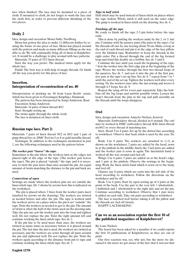lace when finished. The lace may be mounted to a piece of cloth. If mounted to cloth, do not forget to wash the lace and the cloth first, in order to prevent different shrinking of the two pieces.

# **Doily 2**

Idea, design and execution: Mona Nøhr, Nordborg

Mona has gotten the idea to make 12 different doilies by reusing the frame of one piece of lace. Mona has played around with the pattern and made as many different fillings as she was able to do. We will continually bring all of them in Kniplebrevet. It would be a challenge to play around with lace patterns.

Materials: 25 pairs of 35/2 linen thread.

Start the way you prefer. The marked twists apply for the whole lace.

Finish: The best way is with help of magic threads. Or finish off the way you prefer for this piece of lace.

### **Insertion. Interpretation of reconstruction of no. 40**

Interpretation of pricking no. 40 from Lucie Krebs' estate, which has been given to Foreningen Knipling i Danmark.

The pattern has been interpreted by Sonja Anderson, Ikast Execution: Sonja Anderson

Materials: 34 pairs of linen thread 40/2

Start: Straight setting up.

The twists apply through the whole work.

The lace is mounted on linen cloth.

### **Russian tape lace. Part 2:**

Materials: 7 pairs of linen thread 50/2 or 60/2 and 1 pair of gimp thread for ex. DMC Perl no.5 or 8 or gold metallic thread. Technique: In addition to the techniques mentioned in part

1, are the following techniques used in the pattern below.

#### *The worker pair "leaves" the tape.*

Sometimes is the pin where the workers turn at the edges, not placed right at the edge of the tape. (The worker pair leaves the tape). The pin is placed "outside" the tape and it is necessary to twist the pair more than once around the pin. An equal amount of twists matching the distance to the pin and back are used.

#### *Connections of tapes*

Sewings are made where the workers pins are set outside the linen stitch tape. Dr. 1 shows by arrows how this is indicated on the worksheet.

 The pin is placed where 2 lines from the worker pairs meet (marked by arrows on the drawing). The workers are twisted as needed before and after the pin. The tape is worked until the workers arrive on a place where the pin is set "outside" the tape. Twist the workers as needed to get to the pin. The amount of twists is often the half of the twists used on the meeting side. Take the pin out, sew the worker pair into the loop and tighten well. Do not replace the pin. Twist the right amount left and continue working the linen stitch tape. See dr. 2.

If the pin has to be used more than once, the workers are twisted as many times as necessary before it is placed around the pin. The last time the pin is used, the workers are twisted as necessary, and the workers are sewn through all pairs around the pin and tightened well. Do not replace the pin. Twist the workers again according to the distance from pin to tape and continue working the linen stitch tape. See dr. 3.

#### *Tape in half stitch*

Half stitch may be used instead of linen stitch on places where the tape widens. Whole stitch is still used on the outer edge. The gimp is worked in linen stitch on the drawing. See dr. 4.

#### *Finishing off the tape*

Be ready to finish off the tape 2-3 pin holes before the tape ends.

This is done by putting the workers aside by the 2. or 3. last pin. Continue with the passive pairs (the pairs in the tape). Cut the threads off one by one leaving about 30 cm. Make a loop at the end of each thread and pin it at the edge of the lace pillow, over the finished tape. Remember to keep the threads in the right order. Put a thread through the end of the big formed loop and wind this double on a bobbin. See dr. 5 and 6.

Continue the lace until you reach the beginning of the tape. \* Sew the worker into the first edge pin at the beginning of the tape. Weave the worker through the first two thread loops of the passives. See dr. 7. and sew it into the pin of the first passive pair at the tape's set up line. See dr. 8. \* repeat from \* to \* until the end of the set up. Tighten the workers well after every sewing. Tie the workers once after the last sewing and weave it through 4-5 loops. See dr. 9.

Repeat the tying off for every pair separately. Take the bobbins off the big loops and untwist possible twists. Loosen the loop's threads from the pins at the top and pull carefully on the threads until the loops disappear.

## **Owl**

Idea, design and execution: Annette Nielsen, Jernved

Materials: Embroidery thread, divided in 6 strands. The owl may be worked in DMC embroidery thread, K80, linen thread no.60/2 or every thread of marching size.

Start. Head: Use 6 pairs. Set up by the dotted line according to worksheet. Observe that back stitch is used by the ears. Tie off.

Body: Use 6 pairs. The workers are attached to  $(+1)$  as shown on the worksheet, 2 pairs are added by the head, sewn in at the pinhole in the middle, finely the 3 last pairs are added and the worker pair is sewn in again. The linenstitch band is worked all the way around and tied off.

Wings: Use 6 pairs. 5 pairs are added on at the head's edge, and 1 pair at the pinhole. Observe the sewings in the beginning. Work the linen stitch band which is sewn on to the body, and tied off.

Glasses: use 8 pairs, which are sewn into the left side of the head according to worksheet. Follow the directions on the worksheet and tie off.

Beak: Use 6 pairs. Start by open setting up of 4 pairs at the point of the beak. Use the pair to the very left: 1 wholestitch , 1 halfstitch and 1 wholestitch to the right side and set the pin. Continue according to worksheet. Observe that 1 pair more is added on each side. Take out pairs according to worksheet.

The lace is starched well before taking it off the pillow and the threads are tied off closely.

HAPPY LACEMAKING

## **Can we as an association reprint the first 10 of the published magazines of Kniplebrevet?**

#### By Lone Nielsen

The board has been asked by a member if we could reprint the first 10 publications of Kniplebrevet, as they are out of print.

Our first reaction was, yes, why not, but the more we discussed it, the more we got aware of the fact, that it was not that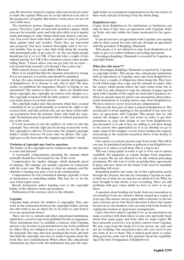easy. We therefore started to explore what was needed in order to make the reprints. What are we in fact allowed to do, due to the perspective of legality. But before I write more, let me tell you a little story.

The strawberry grower: Imagine that you are a strawberry grower. You have a plot of land with strawberry plants, which you care for, nourish, water and look after daily, treat it against snails and fungus or other things which may destroy your harvest. You cover them with straw or plastic in order to protect them against wind and weather. Finely they are harvested and prepared. You have worked thoroughly with it for several months. You set up a nice little both along the wayside with homemade jelly. A jar costs 25,- kr. Do you think people should pay for it, or is it OK. if they just take a couple of jars without paying? Is it OK if the costumers contact other people telling them: "I know where you can get jelly for no costs…. you can just help yourself, even though it has a price tag".

With consent, Source: Laila Miller Albertsen

Most of us would find that the situation described is wrong. If it is not paid for, it is stolen, and should be punished.

In fact, the same situation occurs if we reprint old magazines of Kniplebrevet. It is obvious to ask, why is that? We have earlier on published the magazines. Doesn't it belong to our association? The answer to this is no – there are Danish laws about copyright, also copyright on written texts, designs a.s.o. The copyright is marked with the little symbol c , which can be seen many places if you look closely.

The copyright makes sure that persons, which have created something in art or professionally, is secured the right to the created work, and that nobody else can use these works without permission from the persons /firms, who hold the copyright. Permissions may be granted with or without payment for use of the work.

It is not necessary to use the symbol c in order to own the copyright. You own the right just by having created the work. The copyright is valid for 70 years after the original copyright holder's death, however 50 years only for photos. The copyright goes to the heirs after the original copy holder's death.

#### *Violation of copyright may lead to sanctions:*

The holder of the copyright can by violation take the offender to court and demand:

A reasonable compensation matching the amount which normally should have been paid for use of the work.

Compensation for further damage, which demands proof of damage. The damage can include expenses in connection with the court case. The damage is often an estimate, and the offender's winning may play a role in the consideration.

Compensation for not economical damage, typically a form of defamation or something similar. This may for ex. be the case if bad copies occur.

Recall, destruction and/or handing over to the copyright holder of the offensive items and products.

Publication of the sentence given to the offender.

#### *Copydan:*

Copydan helps protect the holders of copyrights. They also work as the connection between the copyright holder and the one who wish to use an object for ex. in order to copy from ít or to use quotations from it.

There are for ex. schools and other educational institutions, which have a need to copy from published books or magazines. These institutions have to establish a contract with Copydan and pay a fee in order to get permission to use work, produced by others. They are obliged to pay a yearly fee for the use of the materials. The ones, who have produced the work, and with that hold the copyright, also have to notify Copydan about the work they have manufactured. When others, like educational institutions, use their work, the institutions may pay the copyright holder an economical compensation for the use of part of their work, instead of having to buy the whole thing.

#### *Kniplebrevet says:*

Copies from Kniplebrevet for institutions or businesses can only be done if they have an agreement with Copydan, Tekst og Node, and only within the frame mentioned in the agreement.

If you do not have an agreement with Copydan, can copying only be done, except for your own use, through an agreement with the president of Knipling i Danmark.

This means, it is not allowed to copy from Kniplebrevet in order to give it to others without a preceding agreement.

Foreningen Knipling i Danmark is recorded by Copydan as copyright holder.

#### *What does this mean???*

First, Foreningen Knipling i Danmark is reported by Copydan as copyright holder. This means that educational institutions with an agreement at Copydan, may copy from Kniplebrevet. They have a couple of obligations when doing this. They have to tell which pages they copy, and the amount of copies. Also the source, which means where the copy comes from, has to be told. It is only allowed to copy the amount of pages agreed upon with Copydan. If the copies are used and Copydan is notified, an amount masy be paid to our association, when educational institutions or evening classes copy from Kniplebrevet. We have, however, never received any compensation.

This was the first part of what is stated in Kniplebrevet. The second part is about applying to the president if one does not have an agreement with Copydan. This means that we will contact the designer or the text writer in order to get their permission to copy their design or text from Kniplebrevet. An alternative is to ask if they are willing to sell their design to the person who approached us. It is an absolute no go to make copies if the designer or text writer declines the request, referencing to the sanctions described above if the decline is not honored.

One cannot as a private person copy from works. This will in our case be purchased patterns or patterns from Kniplebrevet, and give it to others or sell them. This is a big no-no!

This was a long epistle in order to get to if we can or cannot republish old magazines or reprint designs from magazines out of print. We are not allowed to do this without preceding permission. We will start to work on getting these agreements in place and save them for the future if the need to republish something will occur.

Something positive has come out of this exploration, partly through the internet, but also by contacting Copydan in order to find out of what we are and are not allowed to do. What we have brought in this article, is not everything. There are still problems with grey zones, which we have to solve as we get there.

A question about lending out books from our association to our members from our extensive library turned up a couple of years ago. The answer was no, again with a reference to the law and a sentence given. Our library therefore is there, but cannot be lent out to our members. One can only look in the books by visiting the location at open house arrangements.

I have therefore asked Copydan if we, as an association can make a contract with them where we pay a fee and notify them about how many pages and from what we make copies. We have presently received a very positive answer from Copydan. We may copy from the books if it is for private use only and not for teaching. Our association does not even need to pay any form of fee to them. This is indeed good news, so something good has come out of the question about the republishing of the first 10 magazines of Kniplebrevet.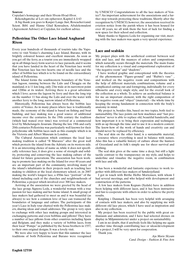#### *Sources:*

Copydan's homepage and their Hvem-Hvad-Hvor.

Bekendtgørelse af Lov om ophavsret, Kapitel 4, § 63 A big thank you goes to Kasper Lauge Just, Reseacher/cand. Scient. Bibl. and Hanne Glud Konradsen, Aftalekonsulent (Agreement Adviser) at Copydan, for exellent advice.

# **Pellestrina: The Other Lace Island Angharad Rixon**

Every year hundreds of thousands of tourists take the Vaporetto to visit Venice's charming Lace Island, Burano, with its brightly coloured houses and excellent museum. As soon as you get off the ferry, as a tourist you are immediately wrapped up in all things lacey form scarves to lace parasols, and it seems that you have landed in the heart of the Venetian lace world. But Venetian lace has two hearts; one of needle lace and the other of bobbin lace which is to be found on the extraordinary island of Pellestrina.

The Island forms the southwestern boundary of the Venetian lagoon, running between the Lido and Chioggia on the mainland, it is 11 km long, only 23m wide at its narrowest point and 1200m at its widest. Arriving there is a great adventure which I love; across the lagoon by ferry and then the long trip on the number 11 bus along the Lido and over the water with another ferry to the long, narrow island of Pellestrina.

Historically, Pellestrina has always been the bobbin lace centre of Venice. As in many places where lace is traditionally made, the economy of the island is based on fishing and boat building, and lace making was a good source of additional income over the centuries. In the 19th century the tradition (which had waned over time) was revived at a commercial level by Michelangelo Jesurum. During the late 19th and early 20th centuries Pellestrina was particularly well known for their polychrome silk bobbin laces such as this example which is in the Victoria and Albert Museum in London.

The Cultural Association which continues the local lace making tradition is called "Il Murazzo" after the great wall which protects the island from the Adriatic on its western side. It is an interesting choice of name as, while it does not specifically reference lace, it does give a sense of strength and solidity, protecting and conserving the lace making culture of the island for future generations. The association has been working to promote lace making on the Island for over 40 years and are an important part of the community, involving many of the island's inhabitants in their projects such as teaching lace making to children at the local elementary school, or, in 2007 making the world's longest lace, a 450m lace "portrait" of the island including each of the churches and neighbourhoods of Pellestrina; a project which involved over 300 lace makers.

Arriving at the association we were greeted by the head of the lace group, Signora Leda, a wonderful woman with a true passion for lace making and her home island. A small group of lace makers had gathered to meet us and it was beautiful (as always) to see how a common love of lace can transcend the boundaries of language and culture. The participants of this year's Lace in Italy tour chatted with the Pellestrina lace makers, sharing ideas and email addresses. The group is very open to exchange with other lace making groups and interested in exchanging patterns and even bobbins and pillows! They have a number of lace pillows from other countries including Spain and Belgium, and they make a variety of bobbin laces, from their local "Pompe" as published by the Sessa brothers in 1557, to their own original designs. It was a lovely visit.

We were also very happy to learn that this summer the lace traditions of both Pellestrina and Burano were recognised

by UNESCO! Congratulations to all the lace makers of Venice!! An important achievement for the associations and a further step towards protecting these traditions. Shortly after the recognition by UNESCO, however, the association received its eviction notice from the parish where it has been housed for over 40 years, we all wish them the best of luck for finding a new space for their school and collection.

Many thanks to Signora Leda for organising our visit, meeting with the lace makers was again a very special experience.

# **Lace and sealskin**

My project plays with the aesthetical contrast between seal skin and lace, and the nuances of colors and compositions, which naturally occurs through the materials. The main frame for my collection is a visual and compositional exploration of "the negative room" and "shadows".

I have worked graphic and conceptional with the theories of the phenomenon "Figure-ground" and "Rubin's vase" , and worked on the negative room and compositions with the help of different materials, combinations, volume and a complicated cutting out and formgiving, individually for every silhouette and every single style, and for the overall look of the collection as a whole. To achieve an aesthetical balance is for me an important element, with the right composition of the negative room and "object" (material) – the whole time by keeping the strong fundament in connection with the body's anatomy in mind.

My project is, besides this, based on two topics, both tied to sustainability. The lace points out how machines and "fast production" never is able to replace old, beautiful handcrafts, and how important it is to bring their expression and techniques with us up through the time and to use it in a modern context. The know-how of the work of hands and creativity can and should never be replaced by efficiency.

The seal skin on the other hand, is a sustainable material, a resource where everything is used in balance with nature. Also this has a valuable history of culture about the hunters of Greenland and its folk's simple use for sheer survival and clothing.

The seal skin gives at the same time a deep, but still a light tactile contrast to the transparency on my style, and helps to underline and visualize the negative room, in combination with lace and silk.

It has been a wonderful and fantastic experience to work together with different lace makers of Sønderjylland.

I got in touch with Birthe Helbo Mortensen, with whom I had several meetings, and who helped with development and construction of the patterns.

A few lace makers from Kegnæs (Sydals) have in addition been helping with different laces, and it has been instructive and fun to cooperate with others in order to achieve the pretty results.

Knipling i Danmark has been very helpful with arranging of contacts with lace makers, and also by supplying me with different old lace pieces, which I have used as inspiration and also in my collection.

My project has been received by the public with great enthusiasm and admiration, and I have had selected dresses on display in Miljøministeriet under a project on sustainability.

I am in no doubt, that if anybody feels like helping me again another time through contributing lace or ideas/development for a project, I will be very open for cooperation.

Thank you.

*Aja Marie Skyum Cand. Design – Fashion & Fine Arts*